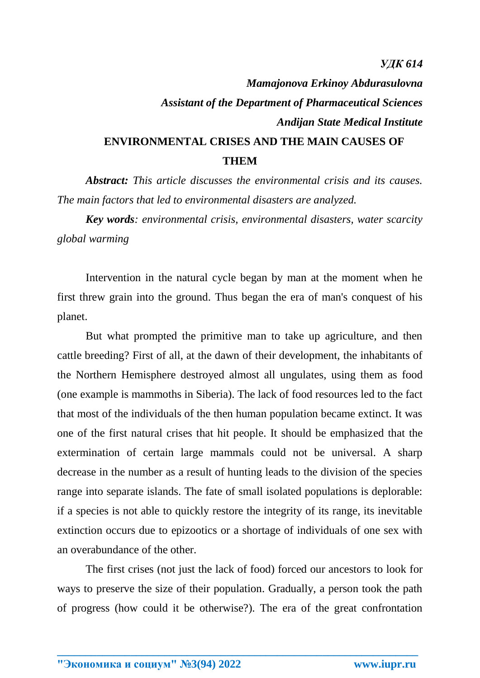## *Mamajonova Erkinoy Abdurasulovna Assistant of the Department of Pharmaceutical Sciences Andijan State Medical Institute* **ENVIRONMENTAL CRISES AND THE MAIN CAUSES OF THEM**

*Abstract: This article discusses the environmental crisis and its causes. The main factors that led to environmental disasters are analyzed.*

*Key words: environmental crisis, environmental disasters, water scarcity global warming*

Intervention in the natural cycle began by man at the moment when he first threw grain into the ground. Thus began the era of man's conquest of his planet.

But what prompted the primitive man to take up agriculture, and then cattle breeding? First of all, at the dawn of their development, the inhabitants of the Northern Hemisphere destroyed almost all ungulates, using them as food (one example is mammoths in Siberia). The lack of food resources led to the fact that most of the individuals of the then human population became extinct. It was one of the first natural crises that hit people. It should be emphasized that the extermination of certain large mammals could not be universal. A sharp decrease in the number as a result of hunting leads to the division of the species range into separate islands. The fate of small isolated populations is deplorable: if a species is not able to quickly restore the integrity of its range, its inevitable extinction occurs due to epizootics or a shortage of individuals of one sex with an overabundance of the other.

The first crises (not just the lack of food) forced our ancestors to look for ways to preserve the size of their population. Gradually, a person took the path of progress (how could it be otherwise?). The era of the great confrontation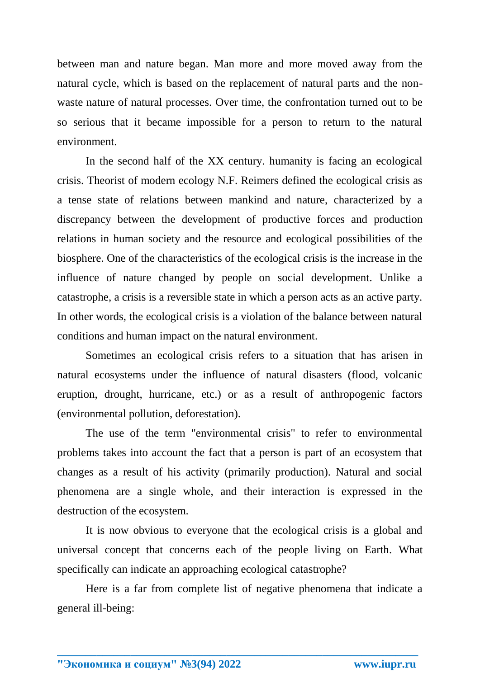between man and nature began. Man more and more moved away from the natural cycle, which is based on the replacement of natural parts and the nonwaste nature of natural processes. Over time, the confrontation turned out to be so serious that it became impossible for a person to return to the natural environment.

In the second half of the XX century. humanity is facing an ecological crisis. Theorist of modern ecology N.F. Reimers defined the ecological crisis as a tense state of relations between mankind and nature, characterized by a discrepancy between the development of productive forces and production relations in human society and the resource and ecological possibilities of the biosphere. One of the characteristics of the ecological crisis is the increase in the influence of nature changed by people on social development. Unlike a catastrophe, a crisis is a reversible state in which a person acts as an active party. In other words, the ecological crisis is a violation of the balance between natural conditions and human impact on the natural environment.

Sometimes an ecological crisis refers to a situation that has arisen in natural ecosystems under the influence of natural disasters (flood, volcanic eruption, drought, hurricane, etc.) or as a result of anthropogenic factors (environmental pollution, deforestation).

The use of the term "environmental crisis" to refer to environmental problems takes into account the fact that a person is part of an ecosystem that changes as a result of his activity (primarily production). Natural and social phenomena are a single whole, and their interaction is expressed in the destruction of the ecosystem.

It is now obvious to everyone that the ecological crisis is a global and universal concept that concerns each of the people living on Earth. What specifically can indicate an approaching ecological catastrophe?

Here is a far from complete list of negative phenomena that indicate a general ill-being: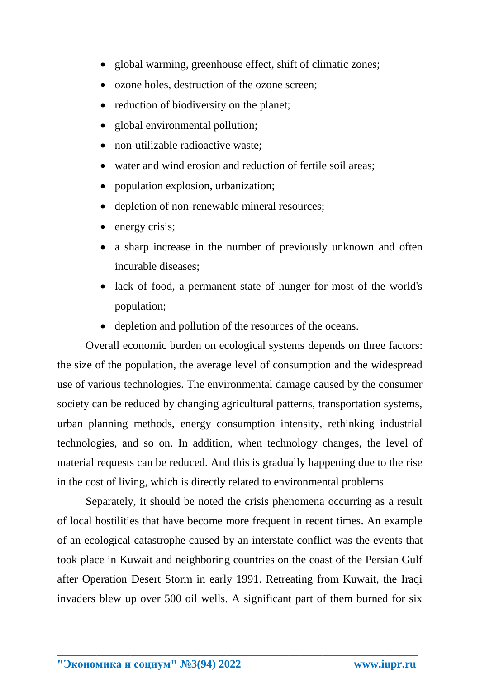- global warming, greenhouse effect, shift of climatic zones;
- ozone holes, destruction of the ozone screen;
- reduction of biodiversity on the planet;
- global environmental pollution;
- non-utilizable radioactive waste:
- water and wind erosion and reduction of fertile soil areas:
- population explosion, urbanization;
- depletion of non-renewable mineral resources;
- energy crisis;
- a sharp increase in the number of previously unknown and often incurable diseases;
- lack of food, a permanent state of hunger for most of the world's population;
- depletion and pollution of the resources of the oceans.

Overall economic burden on ecological systems depends on three factors: the size of the population, the average level of consumption and the widespread use of various technologies. The environmental damage caused by the consumer society can be reduced by changing agricultural patterns, transportation systems, urban planning methods, energy consumption intensity, rethinking industrial technologies, and so on. In addition, when technology changes, the level of material requests can be reduced. And this is gradually happening due to the rise in the cost of living, which is directly related to environmental problems.

Separately, it should be noted the crisis phenomena occurring as a result of local hostilities that have become more frequent in recent times. An example of an ecological catastrophe caused by an interstate conflict was the events that took place in Kuwait and neighboring countries on the coast of the Persian Gulf after Operation Desert Storm in early 1991. Retreating from Kuwait, the Iraqi invaders blew up over 500 oil wells. A significant part of them burned for six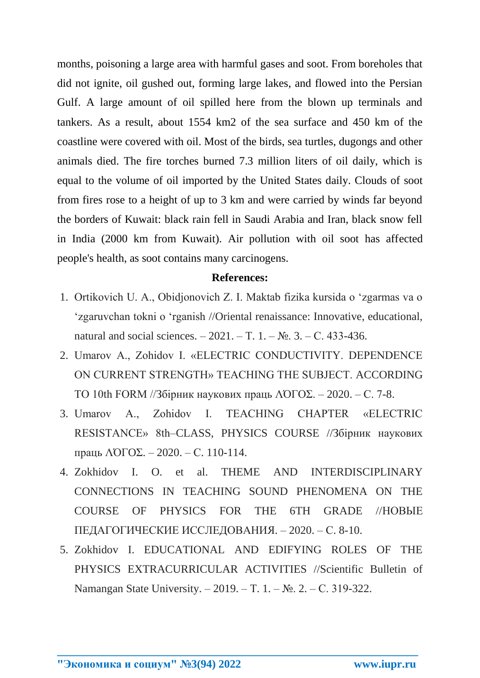months, poisoning a large area with harmful gases and soot. From boreholes that did not ignite, oil gushed out, forming large lakes, and flowed into the Persian Gulf. A large amount of oil spilled here from the blown up terminals and tankers. As a result, about 1554 km2 of the sea surface and 450 km of the coastline were covered with oil. Most of the birds, sea turtles, dugongs and other animals died. The fire torches burned 7.3 million liters of oil daily, which is equal to the volume of oil imported by the United States daily. Clouds of soot from fires rose to a height of up to 3 km and were carried by winds far beyond the borders of Kuwait: black rain fell in Saudi Arabia and Iran, black snow fell in India (2000 km from Kuwait). Air pollution with oil soot has affected people's health, as soot contains many carcinogens.

## **References:**

- 1. Ortikovich U. A., Obidjonovich Z. I. Maktab fizika kursida o 'zgarmas va o 'zgaruvchan tokni o 'rganish //Oriental renaissance: Innovative, educational, natural and social sciences. – 2021. – Т. 1. – №. 3. – С. 433-436.
- 2. Umarov A., Zohidov I. «ELECTRIC CONDUCTIVITY. DEPENDENCE ON CURRENT STRENGTH» TEACHING THE SUBJECT. ACCORDING TO 10th FORM //Збірник наукових праць ΛΌГOΣ. – 2020. – С. 7-8.
- 3. Umarov A., Zohidov I. TEACHING CHAPTER «ELECTRIC RESISTANCE» 8th–CLASS, PHYSICS COURSE //Збірник наукових праць ΛΌГOΣ. – 2020. – С. 110-114.
- 4. Zokhidov I. O. et al. THEME AND INTERDISCIPLINARY CONNECTIONS IN TEACHING SOUND PHENOMENA ON THE COURSE OF PHYSICS FOR THE 6TH GRADE //НОВЫЕ ПЕДАГОГИЧЕСКИЕ ИССЛЕДОВАНИЯ. – 2020. – С. 8-10.
- 5. Zokhidov I. EDUCATIONAL AND EDIFYING ROLES OF THE PHYSICS EXTRACURRICULAR ACTIVITIES //Scientific Bulletin of Namangan State University. – 2019. – Т. 1. – №. 2. – С. 319-322.